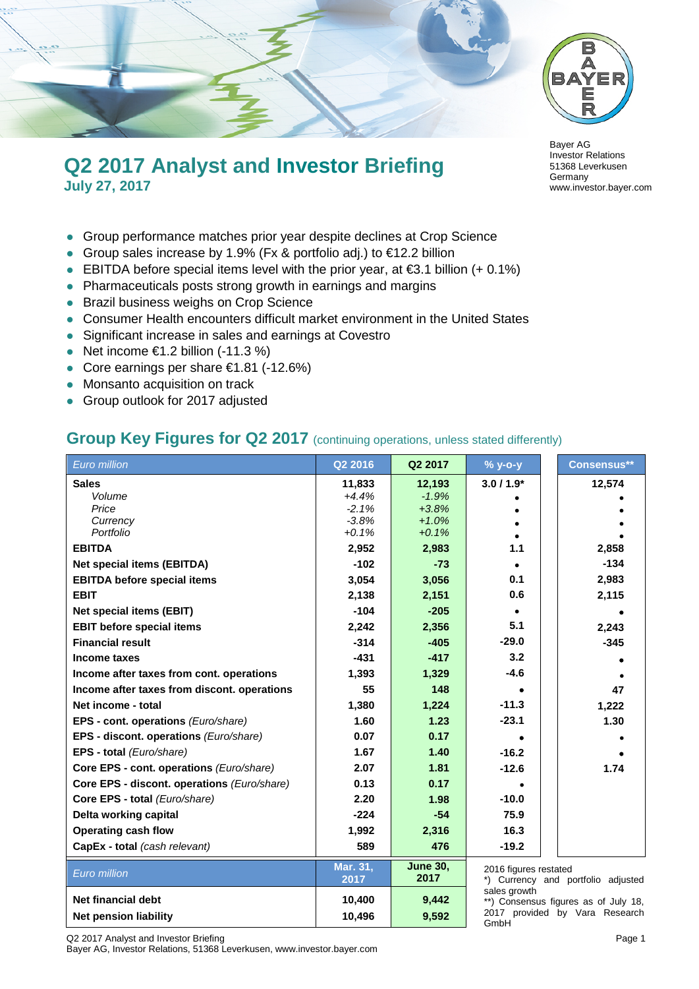

# **Q2 2017 Analyst and Investor Briefing July 27, 2017**

- Group performance matches prior year despite declines at Crop Science
- Group sales increase by 1.9% (Fx & portfolio adj.) to €12.2 billion
- EBITDA before special items level with the prior year, at  $€3.1$  billion  $(+ 0.1%)$
- Pharmaceuticals posts strong growth in earnings and margins
- **Brazil business weighs on Crop Science**
- Consumer Health encounters difficult market environment in the United States
- Significant increase in sales and earnings at Covestro
- $\bullet$  Net income €1.2 billion (-11.3 %)
- Core earnings per share €1.81 (-12.6%)
- Monsanto acquisition on track
- Group outlook for 2017 adjusted

#### **Group Key Figures for Q2 2017** (continuing operations, unless stated differently)

| Euro million                                | Q2 2016            | Q2 2017                 | % y-o-y               | <b>Consensus**</b>                                                     |
|---------------------------------------------|--------------------|-------------------------|-----------------------|------------------------------------------------------------------------|
| <b>Sales</b>                                | 11,833             | 12,193                  | $3.0/1.9*$            | 12,574                                                                 |
| Volume                                      | $+4.4%$            | $-1.9%$                 |                       |                                                                        |
| Price                                       | $-2.1%$            | $+3.8%$                 |                       |                                                                        |
| Currency<br>Portfolio                       | $-3.8%$<br>$+0.1%$ | $+1.0%$<br>$+0.1%$      |                       |                                                                        |
| <b>EBITDA</b>                               | 2,952              | 2,983                   | 1.1                   | 2,858                                                                  |
|                                             | $-102$             |                         |                       | $-134$                                                                 |
| <b>Net special items (EBITDA)</b>           |                    | $-73$                   |                       |                                                                        |
| <b>EBITDA before special items</b>          | 3,054              | 3,056                   | 0.1                   | 2,983                                                                  |
| <b>EBIT</b>                                 | 2,138              | 2,151                   | 0.6                   | 2,115                                                                  |
| <b>Net special items (EBIT)</b>             | $-104$             | $-205$                  |                       |                                                                        |
| <b>EBIT before special items</b>            | 2,242              | 2,356                   | 5.1                   | 2,243                                                                  |
| <b>Financial result</b>                     | $-314$             | $-405$                  | $-29.0$               | $-345$                                                                 |
| Income taxes                                | $-431$             | $-417$                  | 3.2                   |                                                                        |
| Income after taxes from cont. operations    | 1,393              | 1,329                   | $-4.6$                |                                                                        |
| Income after taxes from discont. operations | 55                 | 148                     |                       | 47                                                                     |
| Net income - total                          | 1,380              | 1,224                   | $-11.3$               | 1,222                                                                  |
| EPS - cont. operations (Euro/share)         | 1.60               | 1.23                    | $-23.1$               | 1.30                                                                   |
| EPS - discont. operations (Euro/share)      | 0.07               | 0.17                    |                       |                                                                        |
| EPS - total (Euro/share)                    | 1.67               | 1.40                    | $-16.2$               |                                                                        |
| Core EPS - cont. operations (Euro/share)    | 2.07               | 1.81                    | $-12.6$               | 1.74                                                                   |
| Core EPS - discont. operations (Euro/share) | 0.13               | 0.17                    |                       |                                                                        |
| Core EPS - total (Euro/share)               | 2.20               | 1.98                    | $-10.0$               |                                                                        |
| Delta working capital                       | $-224$             | $-54$                   | 75.9                  |                                                                        |
| <b>Operating cash flow</b>                  | 1,992              | 2,316                   | 16.3                  |                                                                        |
| CapEx - total (cash relevant)               | 589                | 476                     | $-19.2$               |                                                                        |
| Euro million                                | Mar. 31,<br>2017   | <b>June 30,</b><br>2017 | 2016 figures restated | *) Currency and portfolio adjusted                                     |
|                                             |                    |                         | sales growth          |                                                                        |
| <b>Net financial debt</b>                   | 10,400             | 9,442                   |                       | **) Consensus figures as of July 18,<br>2017 provided by Vara Research |
| Net pension liability                       | 10,496             | 9,592                   | GmbH                  |                                                                        |

Bayer AG Investor Relations 51368 Leverkusen Germany www.investor.bayer.com

Q2 2017 Analyst and Investor Briefing **Page 1** and **Page 1** and **Page 1** and **Page 1** 

Bayer AG, Investor Relations, 51368 Leverkusen, www.investor.bayer.com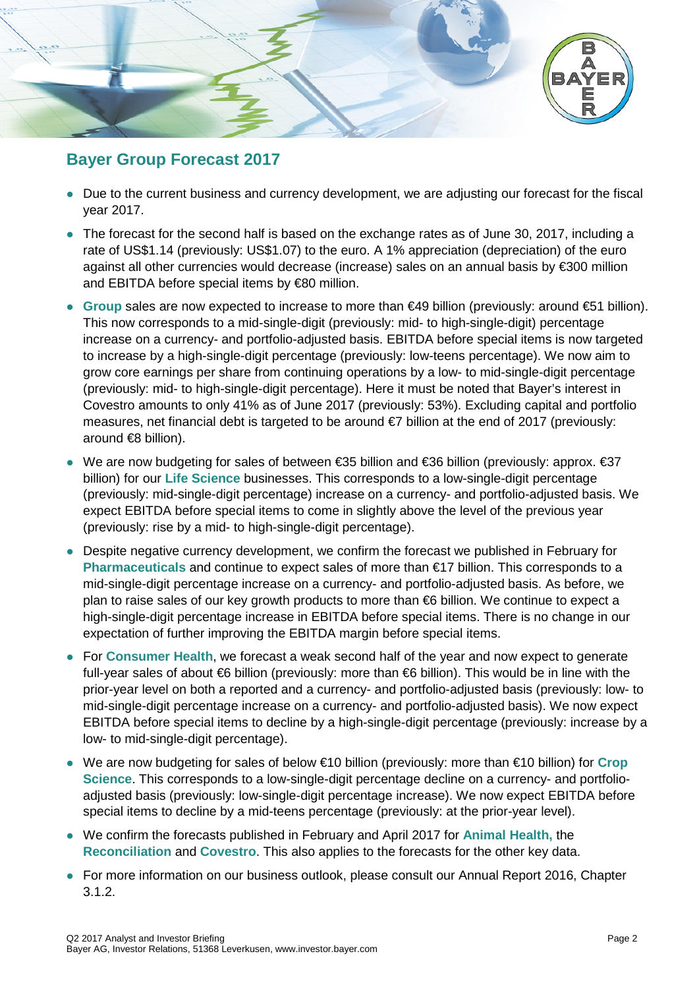

### **Bayer Group Forecast 2017**

- Due to the current business and currency development, we are adjusting our forecast for the fiscal year 2017.
- The forecast for the second half is based on the exchange rates as of June 30, 2017, including a rate of US\$1.14 (previously: US\$1.07) to the euro. A 1% appreciation (depreciation) of the euro against all other currencies would decrease (increase) sales on an annual basis by €300 million and EBITDA before special items by €80 million.
- **Group** sales are now expected to increase to more than €49 billion (previously: around €51 billion). This now corresponds to a mid-single-digit (previously: mid- to high-single-digit) percentage increase on a currency- and portfolio-adjusted basis. EBITDA before special items is now targeted to increase by a high-single-digit percentage (previously: low-teens percentage). We now aim to grow core earnings per share from continuing operations by a low- to mid-single-digit percentage (previously: mid- to high-single-digit percentage). Here it must be noted that Bayer's interest in Covestro amounts to only 41% as of June 2017 (previously: 53%). Excluding capital and portfolio measures, net financial debt is targeted to be around €7 billion at the end of 2017 (previously: around €8 billion).
- We are now budgeting for sales of between €35 billion and €36 billion (previously: approx. €37 billion) for our **Life Science** businesses. This corresponds to a low-single-digit percentage (previously: mid-single-digit percentage) increase on a currency- and portfolio-adjusted basis. We expect EBITDA before special items to come in slightly above the level of the previous year (previously: rise by a mid- to high-single-digit percentage).
- Despite negative currency development, we confirm the forecast we published in February for **Pharmaceuticals** and continue to expect sales of more than €17 billion. This corresponds to a mid-single-digit percentage increase on a currency- and portfolio-adjusted basis. As before, we plan to raise sales of our key growth products to more than €6 billion. We continue to expect a high-single-digit percentage increase in EBITDA before special items. There is no change in our expectation of further improving the EBITDA margin before special items.
- For **Consumer Health**, we forecast a weak second half of the year and now expect to generate full-year sales of about €6 billion (previously: more than €6 billion). This would be in line with the prior-year level on both a reported and a currency- and portfolio-adjusted basis (previously: low- to mid-single-digit percentage increase on a currency- and portfolio-adjusted basis). We now expect EBITDA before special items to decline by a high-single-digit percentage (previously: increase by a low- to mid-single-digit percentage).
- We are now budgeting for sales of below €10 billion (previously: more than €10 billion) for **Crop Science**. This corresponds to a low-single-digit percentage decline on a currency- and portfolioadjusted basis (previously: low-single-digit percentage increase). We now expect EBITDA before special items to decline by a mid-teens percentage (previously: at the prior-year level).
- We confirm the forecasts published in February and April 2017 for **Animal Health,** the **Reconciliation** and **Covestro**. This also applies to the forecasts for the other key data.
- For more information on our business outlook, please consult our Annual Report 2016, Chapter 3.1.2.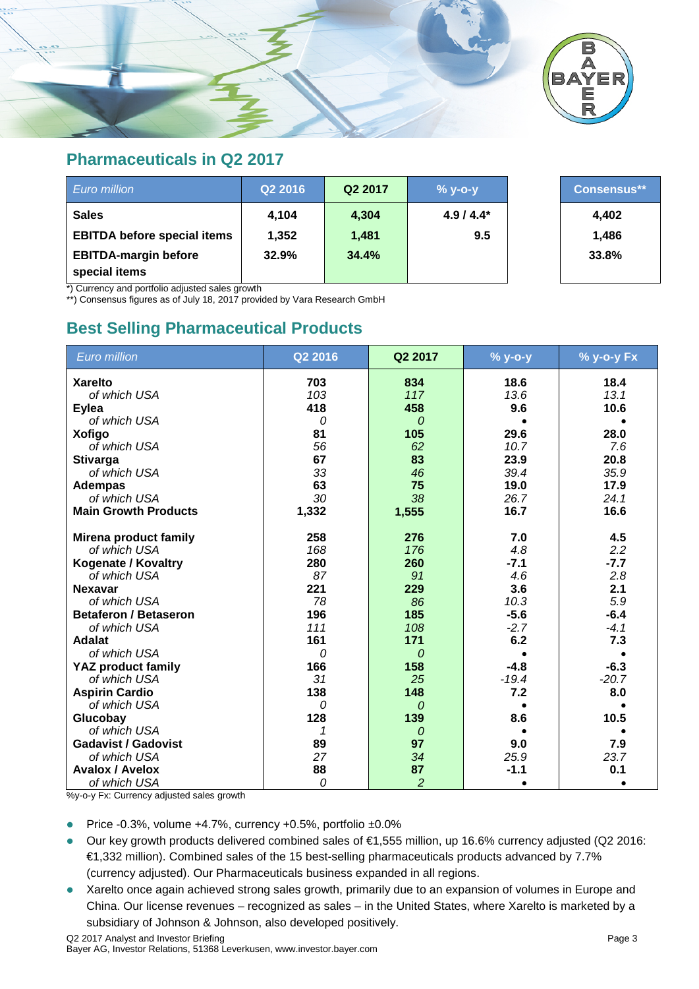

#### **Pharmaceuticals in Q2 2017**

| Euro million                                 | Q2 2016 | Q2 2017 | $%$ y-o-y  | <b>Consensus**</b> |
|----------------------------------------------|---------|---------|------------|--------------------|
| <b>Sales</b>                                 | 4.104   | 4,304   | $4.9/4.4*$ | 4,402              |
| <b>EBITDA before special items</b>           | 1,352   | 1,481   | 9.5        | 1,486              |
| <b>EBITDA-margin before</b><br>special items | 32.9%   | 34.4%   |            | 33.8%              |

\*) Currency and portfolio adjusted sales growth

\*\*) Consensus figures as of July 18, 2017 provided by Vara Research GmbH

### **Best Selling Pharmaceutical Products**

| <b>Euro million</b>          | Q2 2016 | Q2 2017        | % y-o-y | % y-o-y Fx |
|------------------------------|---------|----------------|---------|------------|
| <b>Xarelto</b>               | 703     | 834            | 18.6    | 18.4       |
| of which USA                 | 103     | 117            | 13.6    | 13.1       |
| <b>Eylea</b>                 | 418     | 458            | 9.6     | 10.6       |
| of which USA                 | 0       | $\overline{O}$ |         |            |
| <b>Xofigo</b>                | 81      | 105            | 29.6    | 28.0       |
| of which USA                 | 56      | 62             | 10.7    | 7.6        |
| <b>Stivarga</b>              | 67      | 83             | 23.9    | 20.8       |
| of which USA                 | 33      | 46             | 39.4    | 35.9       |
| <b>Adempas</b>               | 63      | 75             | 19.0    | 17.9       |
| of which USA                 | 30      | 38             | 26.7    | 24.1       |
| <b>Main Growth Products</b>  | 1,332   | 1,555          | 16.7    | 16.6       |
| <b>Mirena product family</b> | 258     | 276            | 7.0     | 4.5        |
| of which USA                 | 168     | 176            | 4.8     | 2.2        |
| <b>Kogenate / Kovaltry</b>   | 280     | 260            | $-7.1$  | $-7.7$     |
| of which USA                 | 87      | 91             | 4.6     | 2.8        |
| <b>Nexavar</b>               | 221     | 229            | 3.6     | 2.1        |
| of which USA                 | 78      | 86             | 10.3    | 5.9        |
| <b>Betaferon / Betaseron</b> | 196     | 185            | $-5.6$  | $-6.4$     |
| of which USA                 | 111     | 108            | $-2.7$  | $-4.1$     |
| <b>Adalat</b>                | 161     | 171            | 6.2     | 7.3        |
| of which USA                 | 0       | 0              |         | $\bullet$  |
| <b>YAZ product family</b>    | 166     | 158            | $-4.8$  | $-6.3$     |
| of which USA                 | 31      | 25             | $-19.4$ | $-20.7$    |
| <b>Aspirin Cardio</b>        | 138     | 148            | 7.2     | 8.0        |
| of which USA                 | 0       | $\Omega$       |         |            |
| Glucobay                     | 128     | 139            | 8.6     | 10.5       |
| of which USA                 | 1       | 0              |         |            |
| <b>Gadavist / Gadovist</b>   | 89      | 97             | 9.0     | 7.9        |
| of which USA                 | 27      | 34             | 25.9    | 23.7       |
| <b>Avalox / Avelox</b>       | 88      | 87             | $-1.1$  | 0.1        |
| of which USA                 | 0       | $\overline{c}$ |         |            |

%y-o-y Fx: Currency adjusted sales growth

Price -0.3%, volume +4.7%, currency +0.5%, portfolio ±0.0%

- Our key growth products delivered combined sales of €1,555 million, up 16.6% currency adjusted (Q2 2016: €1,332 million). Combined sales of the 15 best-selling pharmaceuticals products advanced by 7.7% (currency adjusted). Our Pharmaceuticals business expanded in all regions.
- Xarelto once again achieved strong sales growth, primarily due to an expansion of volumes in Europe and China. Our license revenues – recognized as sales – in the United States, where Xarelto is marketed by a subsidiary of Johnson & Johnson, also developed positively.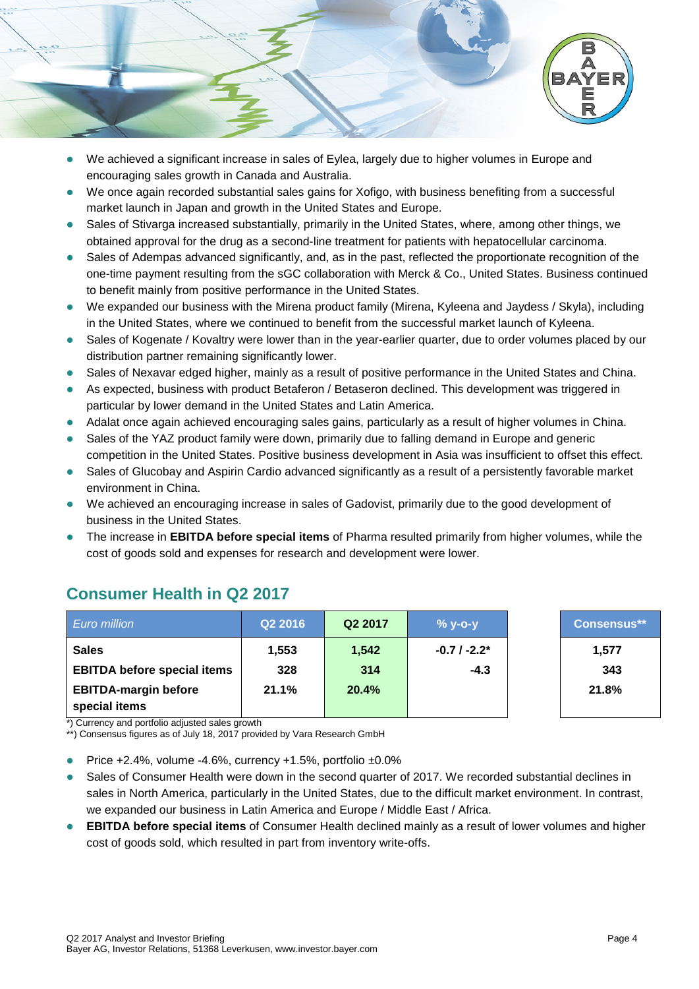

- We achieved a significant increase in sales of Eylea, largely due to higher volumes in Europe and encouraging sales growth in Canada and Australia.
- We once again recorded substantial sales gains for Xofigo, with business benefiting from a successful market launch in Japan and growth in the United States and Europe.
- Sales of Stivarga increased substantially, primarily in the United States, where, among other things, we obtained approval for the drug as a second-line treatment for patients with hepatocellular carcinoma.
- Sales of Adempas advanced significantly, and, as in the past, reflected the proportionate recognition of the one-time payment resulting from the sGC collaboration with Merck & Co., United States. Business continued to benefit mainly from positive performance in the United States.
- We expanded our business with the Mirena product family (Mirena, Kyleena and Jaydess / Skyla), including in the United States, where we continued to benefit from the successful market launch of Kyleena.
- Sales of Kogenate / Kovaltry were lower than in the year-earlier quarter, due to order volumes placed by our distribution partner remaining significantly lower.
- Sales of Nexavar edged higher, mainly as a result of positive performance in the United States and China.
- As expected, business with product Betaferon / Betaseron declined. This development was triggered in particular by lower demand in the United States and Latin America.
- Adalat once again achieved encouraging sales gains, particularly as a result of higher volumes in China.
- Sales of the YAZ product family were down, primarily due to falling demand in Europe and generic competition in the United States. Positive business development in Asia was insufficient to offset this effect.
- Sales of Glucobay and Aspirin Cardio advanced significantly as a result of a persistently favorable market environment in China.
- We achieved an encouraging increase in sales of Gadovist, primarily due to the good development of business in the United States.
- The increase in **EBITDA before special items** of Pharma resulted primarily from higher volumes, while the cost of goods sold and expenses for research and development were lower.

| <b>Euro million</b>                                                                                                          | Q2 2016 | Q2 2017 | $%$ y-o-y     | <b>Consensus**</b> |
|------------------------------------------------------------------------------------------------------------------------------|---------|---------|---------------|--------------------|
| <b>Sales</b>                                                                                                                 | 1,553   | 1,542   | $-0.7/ -2.2*$ | 1,577              |
| <b>EBITDA before special items</b>                                                                                           | 328     | 314     | $-4.3$        | 343                |
| <b>EBITDA-margin before</b><br>special items<br>$\star$ ). Original contract in a substantial contract and construct $\star$ | 21.1%   | 20.4%   |               | 21.8%              |

# **Consumer Health in Q2 2017**

Currency and portfolio adjusted sales growth

\*\*) Consensus figures as of July 18, 2017 provided by Vara Research GmbH

Price +2.4%, volume -4.6%, currency +1.5%, portfolio ±0.0%

- Sales of Consumer Health were down in the second quarter of 2017. We recorded substantial declines in sales in North America, particularly in the United States, due to the difficult market environment. In contrast, we expanded our business in Latin America and Europe / Middle East / Africa.
- **EBITDA before special items** of Consumer Health declined mainly as a result of lower volumes and higher cost of goods sold, which resulted in part from inventory write-offs.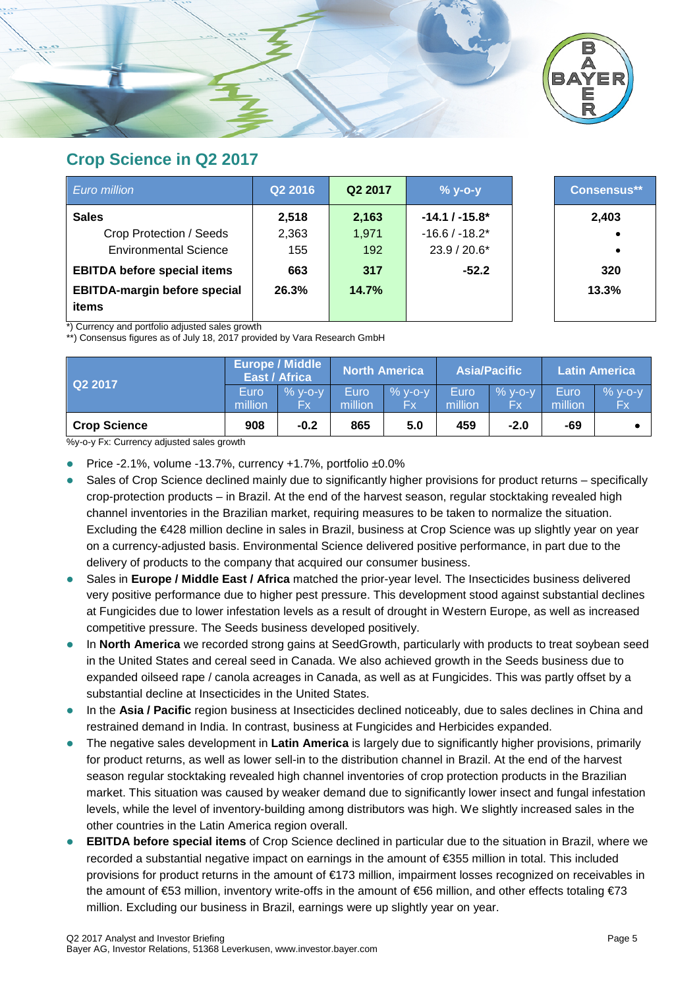

#### **Crop Science in Q2 2017**

| Euro million                        | Q2 2016 | Q <sub>2</sub> 2017 | $% y-o-y$        | Consensus** |
|-------------------------------------|---------|---------------------|------------------|-------------|
| <b>Sales</b>                        | 2,518   | 2,163               | $-14.1 / -15.8*$ | 2,403       |
| Crop Protection / Seeds             | 2,363   | 1.971               | $-16.6/ -18.2*$  |             |
| <b>Environmental Science</b>        | 155     | 192                 | 23.9 / 20.6*     | $\bullet$   |
| <b>EBITDA before special items</b>  | 663     | 317                 | $-52.2$          | 320         |
| <b>EBITDA-margin before special</b> | 26.3%   | 14.7%               |                  | 13.3%       |
| items                               |         |                     |                  |             |

\*) Currency and portfolio adjusted sales growth

\*\*) Consensus figures as of July 18, 2017 provided by Vara Research GmbH

| Q22017              |                 | <b>Europe / Middle</b><br>East / Africa |                        | North America.  |                 | <b>Asia/Pacific</b> |                 | <b>Latin America</b> |
|---------------------|-----------------|-----------------------------------------|------------------------|-----------------|-----------------|---------------------|-----------------|----------------------|
|                     | Euro<br>million | $%$ y-o-y<br>Fx                         | <b>Euro</b><br>million | $%$ y-o-y<br>Fx | Euro<br>million | $%$ y-o-y<br>Fx     | Euro<br>million | $% y-o-y$<br>Fx      |
| <b>Crop Science</b> | 908             | $-0.2$                                  | 865                    | 5.0             | 459             | $-2.0$              | -69             |                      |

%y-o-y Fx: Currency adjusted sales growth

- Price -2.1%, volume -13.7%, currency +1.7%, portfolio  $\pm 0.0\%$
- Sales of Crop Science declined mainly due to significantly higher provisions for product returns specifically crop-protection products – in Brazil. At the end of the harvest season, regular stocktaking revealed high channel inventories in the Brazilian market, requiring measures to be taken to normalize the situation. Excluding the €428 million decline in sales in Brazil, business at Crop Science was up slightly year on year on a currency-adjusted basis. Environmental Science delivered positive performance, in part due to the delivery of products to the company that acquired our consumer business.
- Sales in **Europe / Middle East / Africa** matched the prior-year level. The Insecticides business delivered very positive performance due to higher pest pressure. This development stood against substantial declines at Fungicides due to lower infestation levels as a result of drought in Western Europe, as well as increased competitive pressure. The Seeds business developed positively.
- In **North America** we recorded strong gains at SeedGrowth, particularly with products to treat soybean seed in the United States and cereal seed in Canada. We also achieved growth in the Seeds business due to expanded oilseed rape / canola acreages in Canada, as well as at Fungicides. This was partly offset by a substantial decline at Insecticides in the United States.
- In the **Asia / Pacific** region business at Insecticides declined noticeably, due to sales declines in China and restrained demand in India. In contrast, business at Fungicides and Herbicides expanded.
- The negative sales development in **Latin America** is largely due to significantly higher provisions, primarily for product returns, as well as lower sell-in to the distribution channel in Brazil. At the end of the harvest season regular stocktaking revealed high channel inventories of crop protection products in the Brazilian market. This situation was caused by weaker demand due to significantly lower insect and fungal infestation levels, while the level of inventory-building among distributors was high. We slightly increased sales in the other countries in the Latin America region overall.
- **EBITDA before special items** of Crop Science declined in particular due to the situation in Brazil, where we recorded a substantial negative impact on earnings in the amount of €355 million in total. This included provisions for product returns in the amount of €173 million, impairment losses recognized on receivables in the amount of €53 million, inventory write-offs in the amount of €56 million, and other effects totaling €73 million. Excluding our business in Brazil, earnings were up slightly year on year.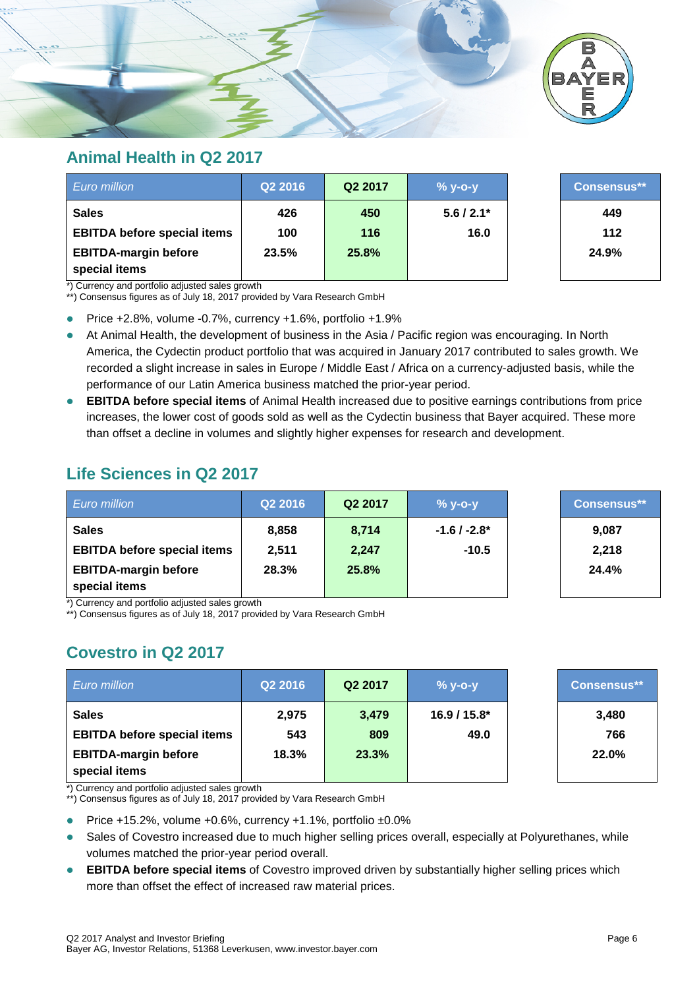

#### **Animal Health in Q2 2017**

| Euro million                                 | Q2 2016 | Q2 2017 | $% y-o-y$    | <b>Consensus**</b> |
|----------------------------------------------|---------|---------|--------------|--------------------|
| <b>Sales</b>                                 | 426     | 450     | $5.6 / 2.1*$ | 449                |
| <b>EBITDA before special items</b>           | 100     | 116     | 16.0         | 112                |
| <b>EBITDA-margin before</b><br>special items | 23.5%   | 25.8%   |              | 24.9%              |

\*) Currency and portfolio adjusted sales growth

\*\*) Consensus figures as of July 18, 2017 provided by Vara Research GmbH

Price  $+2.8\%$ , volume  $-0.7\%$ , currency  $+1.6\%$ , portfolio  $+1.9\%$ 

- At Animal Health, the development of business in the Asia / Pacific region was encouraging. In North America, the Cydectin product portfolio that was acquired in January 2017 contributed to sales growth. We recorded a slight increase in sales in Europe / Middle East / Africa on a currency-adjusted basis, while the performance of our Latin America business matched the prior-year period.
- **EBITDA before special items** of Animal Health increased due to positive earnings contributions from price increases, the lower cost of goods sold as well as the Cydectin business that Bayer acquired. These more than offset a decline in volumes and slightly higher expenses for research and development.

# **Life Sciences in Q2 2017**

| <b>Euro million</b>                          | Q2 2016 | Q2 2017 | $%$ y-o-y     | <b>Consensus**</b> |
|----------------------------------------------|---------|---------|---------------|--------------------|
| <b>Sales</b>                                 | 8,858   | 8,714   | $-1.6/ -2.8*$ | 9,087              |
| <b>EBITDA before special items</b>           | 2.511   | 2,247   | $-10.5$       | 2,218              |
| <b>EBITDA-margin before</b><br>special items | 28.3%   | 25.8%   |               | 24.4%              |

\*) Currency and portfolio adjusted sales growth

\*\*) Consensus figures as of July 18, 2017 provided by Vara Research GmbH

# **Covestro in Q2 2017**

| <b>Euro million</b>                          | Q2 2016 | Q2 2017 | $%$ y-o-y    | Consensus** |
|----------------------------------------------|---------|---------|--------------|-------------|
| <b>Sales</b>                                 | 2,975   | 3,479   | 16.9 / 15.8* | 3,480       |
| <b>EBITDA before special items</b>           | 543     | 809     | 49.0         | 766         |
| <b>EBITDA-margin before</b><br>special items | 18.3%   | 23.3%   |              | 22.0%       |

\*) Currency and portfolio adjusted sales growth

\*\*) Consensus figures as of July 18, 2017 provided by Vara Research GmbH

Price +15.2%, volume +0.6%, currency +1.1%, portfolio ±0.0%

- Sales of Covestro increased due to much higher selling prices overall, especially at Polyurethanes, while volumes matched the prior-year period overall.
- **EBITDA before special items** of Covestro improved driven by substantially higher selling prices which more than offset the effect of increased raw material prices.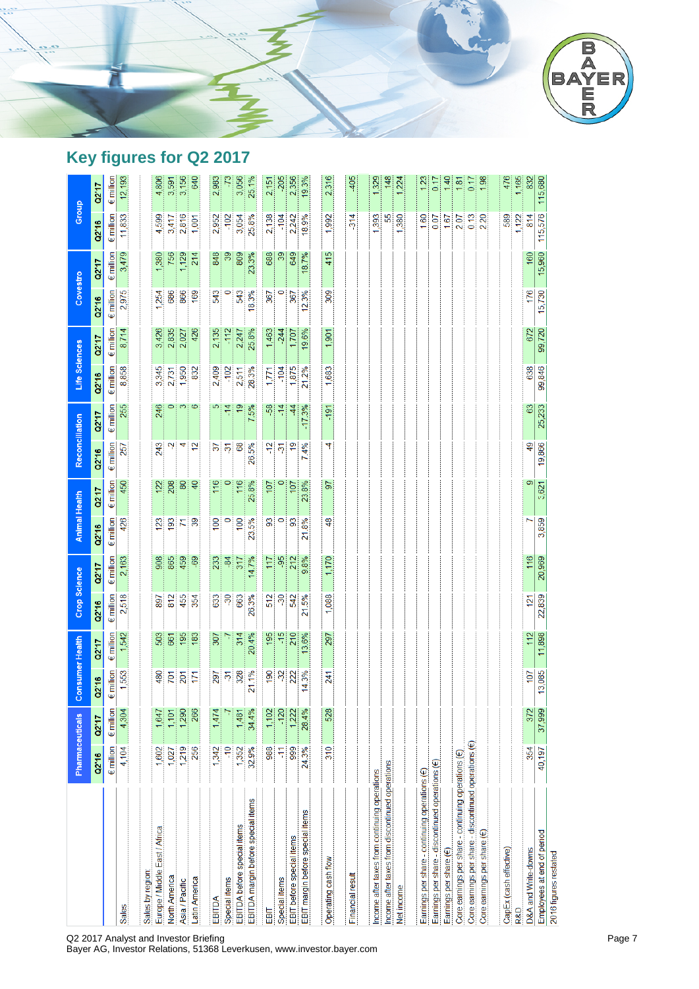

# **Key figures for Q2 2017**

|                                                             |                    | Pharmaceuticals    | <b>Consumer Health</b> |                    | Crop Science       |                    | <b>Animal Health</b> |                    | Reconciliation           |                    | Life Sciences      |                    | Covestro           |                    | Group              |                    |
|-------------------------------------------------------------|--------------------|--------------------|------------------------|--------------------|--------------------|--------------------|----------------------|--------------------|--------------------------|--------------------|--------------------|--------------------|--------------------|--------------------|--------------------|--------------------|
|                                                             | Q2'16              | 02'17              | Q2'16                  | 02'17              | Q2'16              | Q2'17              | Q2'16                | Q2'17              | Q2'16                    | Q2'17              | Q2'16              | 02'17              | Q2"16              | 02'17              | Q2'16              | 02'17              |
|                                                             | $\epsilon$ million | $\epsilon$ million | $\epsilon$ million     | $\epsilon$ million | $\epsilon$ million | $\epsilon$ million | $\epsilon$ million   | $\epsilon$ million | $\epsilon$ million       | $\epsilon$ million | $\epsilon$ million | $\epsilon$ million | $\epsilon$ million | $\epsilon$ million | $\epsilon$ million | $\epsilon$ million |
| <b>Sales</b>                                                | 4,104              | 4,304              | 1,553                  | 1,542              | 2,518              | 2,163              | 426                  | 450                | 257                      | 255                | 8,858              | 8,714              | 2,975              | 3,479              | 11,833             | 12,193             |
|                                                             |                    |                    |                        |                    |                    |                    |                      |                    |                          |                    |                    |                    |                    |                    |                    |                    |
| Sales by region:                                            |                    |                    |                        |                    |                    |                    |                      |                    |                          |                    |                    |                    |                    |                    |                    |                    |
| Europe / Middle East / Africa                               | 1,602              | 1,647              | 480                    | 503                | 897                | 908                | 123                  | 122                | 243                      | 246                | 3,345              | 3,426              | 254                | 1,380              | 4,599              | 4,806              |
| North America                                               | 1,027              | 1,101              | 701                    | 661                | 812                | 865                | 193                  | 208                | بہ                       | 0                  | 2,731              | 2,835              | 686                | 756                | 3,417              | 3,591              |
| Asia / Pacific                                              | 1,219              | 1,290              | 201                    | 195                | 455                | 459                | 71                   | 80                 | 4                        | က                  | 1,950              | 2,027              | 866                | 1,129              | 2,816              | 3,156              |
| Latin America                                               | 256                | 266                | 171                    | 183                | 354                | -69                | 39                   | 40                 | $\overline{2}$           | ø                  | 832                | 426                | 169                | 214                | 1,001              | 640                |
|                                                             |                    |                    |                        |                    |                    |                    |                      |                    |                          |                    |                    |                    |                    |                    |                    |                    |
| EBITDA                                                      | 1,342              | 1,474              | 297                    | 307                | 633                | 233                | 100                  | 116                | $\overline{\mathcal{E}}$ | ഥ                  | 2,409              | 2,135              | 543                | 848                | 2,952              | 2,983              |
| Special items                                               | $\frac{1}{2}$      |                    | $\overline{5}$         | 7                  | $\overline{30}$    | $-84$              | $\circ$              |                    |                          | $\frac{4}{1}$      | $-102$             | $-112$             | 0                  | $\frac{8}{3}$      | $-102$             | -73                |
| EBITDA before special items                                 | 1,352              | 1,481              | 328                    | 314                | 663                | 317                | 100                  | 116                | 68                       | $\frac{1}{2}$      | 2,511              | 2,247              | 543                | 809                | 3,054              | 3,056              |
| EBITDA margin before special items                          | 32.9%              | 34.4%              | 21.1%                  | 20.4%              | 26.3%              | 14.7%              | 23.5%                | 25.8%              | 5%<br>26.                | 5%<br>N            | 28.3%              | 25.8%              | 18.3%              | 23.3%              | 25.8%              | 25.1%              |
| EBIT                                                        | 988                | 1,102              | 061                    | 195                | 512                | 117                | 8                    | 107                | $-12$                    | အို                | 1,771              | 1,463              | 367                | 688                | 2,138              | 2,151              |
| Special items                                               | 두                  | $-120$             | $\frac{32}{2}$         | $\frac{15}{1}$     | $\frac{30}{2}$     | -95                | $\circ$              |                    | $\overline{\partial}$    | $-14$              | $-104$             | $-244$             | $\circ$            | 39                 | $-104$             | $-205$             |
| EBIT before special items                                   | 999                | 1,222              | 222                    | 210                | 542                | 212                | ဌ                    | 107                | $\overline{6}$           | 4                  | 1,875              | 1,707              | 367                | 649                | 2,242              | 2,356              |
| EBIT margin before special items                            | 24.3%              | 28.4%              | 14.3%                  | 13.6%              | 21.5%              | 9.8%               | 21.8%                | 23.8%              | 4%<br>Z                  | $-17.3%$           | 21.2%              | 19.6%              | 12.3%              | 18.7%              | 18.9%              | 19.3%              |
|                                                             |                    |                    |                        |                    |                    |                    |                      |                    |                          |                    |                    |                    |                    |                    |                    |                    |
| Operating cash flow                                         | 310                | 528                | 241                    | 297                | 1,088              | 1,170              | $\frac{8}{3}$        | 5                  | 4                        | $-191$             | 1,683              | 1,901              | 309                | 415                | 1,992              | 2,316              |
|                                                             |                    |                    |                        |                    |                    |                    |                      |                    |                          |                    |                    |                    |                    |                    |                    |                    |
| Financial result                                            |                    |                    |                        |                    |                    |                    |                      |                    |                          |                    |                    |                    |                    |                    | 314                | 405                |
| Income after taxes from continuing operations               |                    |                    |                        |                    |                    |                    |                      |                    |                          |                    |                    |                    |                    |                    | 393                | 1,329              |
| Income after taxes from discontinued operations             |                    |                    |                        |                    |                    |                    |                      |                    |                          |                    |                    |                    |                    |                    | 55                 | 148                |
| Net income                                                  |                    |                    |                        |                    |                    |                    |                      |                    |                          |                    |                    |                    |                    |                    | ,380               | 1,224              |
|                                                             |                    |                    |                        |                    |                    |                    |                      |                    |                          |                    |                    |                    |                    |                    |                    |                    |
| Earnings per share - continuing operations (€)              |                    |                    |                        |                    |                    |                    |                      |                    |                          |                    |                    |                    |                    |                    | 1.60               | 1.23               |
| Earnings per share - discontinued operations (€)            |                    |                    |                        |                    |                    |                    |                      |                    |                          |                    |                    |                    |                    |                    | 0.07               | 0.17               |
| Earnings per share $(\in)$                                  |                    |                    |                        |                    |                    |                    |                      |                    |                          |                    |                    |                    |                    |                    | 1.67               | 1,40               |
| Core earnings per share - continuing operations (€)         |                    |                    |                        |                    |                    |                    |                      |                    |                          |                    |                    |                    |                    |                    | 2.07               | 1.81               |
| Core earnings per share - discontinued operations $( \in )$ |                    |                    |                        |                    |                    |                    |                      |                    |                          |                    |                    |                    |                    |                    | 0.13               | 0.17               |
| Core earnings per share (€)                                 |                    |                    |                        |                    |                    |                    |                      |                    |                          |                    |                    |                    |                    |                    | 220                | 1.98               |
|                                                             |                    |                    |                        |                    |                    |                    |                      |                    |                          |                    |                    |                    |                    |                    |                    |                    |
| CapEx (cash effective)                                      |                    |                    |                        |                    |                    |                    |                      |                    |                          |                    |                    |                    |                    |                    | 589                | 476                |
| R&D                                                         |                    |                    |                        |                    |                    |                    |                      |                    |                          |                    |                    |                    |                    |                    | 1,122              | 1,165              |
| D&A and Write-downs                                         | 354                | 372                | 107                    | 112                | 121                | 116                |                      | ၜ                  | 9                        | 83                 | 638                | 672                | 176                | 160                | 814                | 832                |
| Employees at end of period                                  | 40,197             | 37,999             | 13,085                 | 11,898             | 22,839             | 20,969             | 3,859                | 3,621              | 19,866                   | 25,233             | 99,846             | 99,720             | 15,730             | 15,960             | 115,576            | 115,680            |
| 2016 figures restated                                       |                    |                    |                        |                    |                    |                    |                      |                    |                          |                    |                    |                    |                    |                    |                    |                    |

Q2 2017 Analyst and Investor Briefing Page 7 (2008) 2017 12:30 Analyst and Decision Page 7

Bayer AG, Investor Relations, 51368 Leverkusen, www.investor.bayer.com